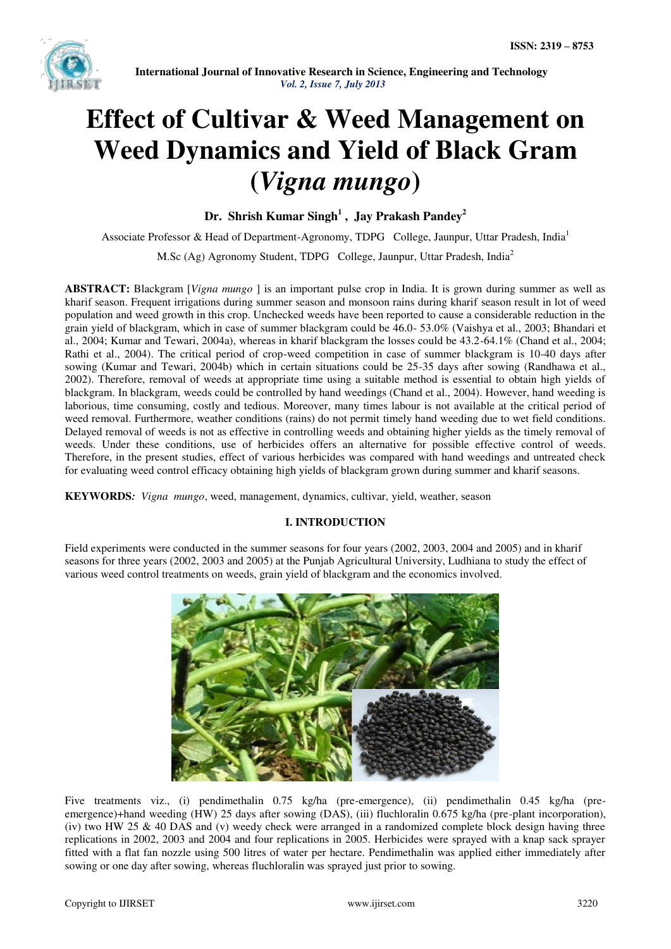

## **Effect of Cultivar & Weed Management on Weed Dynamics and Yield of Black Gram (***Vigna mungo***)**

**Dr. Shrish Kumar Singh<sup>1</sup> , Jay Prakash Pandey<sup>2</sup>**

Associate Professor & Head of Department-Agronomy, TDPG College, Jaunpur, Uttar Pradesh, India<sup>1</sup> M.Sc (Ag) Agronomy Student, TDPG College, Jaunpur, Uttar Pradesh, India<sup>2</sup>

**ABSTRACT:** Blackgram [*Vigna mungo* ] is an important pulse crop in India. It is grown during summer as well as kharif season. Frequent irrigations during summer season and monsoon rains during kharif season result in lot of weed population and weed growth in this crop. Unchecked weeds have been reported to cause a considerable reduction in the grain yield of blackgram, which in case of summer blackgram could be 46.0- 53.0% (Vaishya et al., 2003; Bhandari et al., 2004; Kumar and Tewari, 2004a), whereas in kharif blackgram the losses could be 43.2-64.1% (Chand et al., 2004; Rathi et al., 2004). The critical period of crop-weed competition in case of summer blackgram is 10-40 days after sowing (Kumar and Tewari, 2004b) which in certain situations could be 25-35 days after sowing (Randhawa et al., 2002). Therefore, removal of weeds at appropriate time using a suitable method is essential to obtain high yields of blackgram. In blackgram, weeds could be controlled by hand weedings (Chand et al., 2004). However, hand weeding is laborious, time consuming, costly and tedious. Moreover, many times labour is not available at the critical period of weed removal. Furthermore, weather conditions (rains) do not permit timely hand weeding due to wet field conditions. Delayed removal of weeds is not as effective in controlling weeds and obtaining higher yields as the timely removal of weeds. Under these conditions, use of herbicides offers an alternative for possible effective control of weeds. Therefore, in the present studies, effect of various herbicides was compared with hand weedings and untreated check for evaluating weed control efficacy obtaining high yields of blackgram grown during summer and kharif seasons.

**KEYWORDS***: Vigna mungo*, weed, management, dynamics, cultivar, yield, weather, season

### **I. INTRODUCTION**

Field experiments were conducted in the summer seasons for four years (2002, 2003, 2004 and 2005) and in kharif seasons for three years (2002, 2003 and 2005) at the Punjab Agricultural University, Ludhiana to study the effect of various weed control treatments on weeds, grain yield of blackgram and the economics involved.



Five treatments viz., (i) pendimethalin 0.75 kg/ha (pre-emergence), (ii) pendimethalin 0.45 kg/ha (preemergence)+hand weeding (HW) 25 days after sowing (DAS), (iii) fluchloralin 0.675 kg/ha (pre-plant incorporation), (iv) two HW 25  $\&$  40 DAS and (v) weedy check were arranged in a randomized complete block design having three replications in 2002, 2003 and 2004 and four replications in 2005. Herbicides were sprayed with a knap sack sprayer fitted with a flat fan nozzle using 500 litres of water per hectare. Pendimethalin was applied either immediately after sowing or one day after sowing, whereas fluchloralin was sprayed just prior to sowing.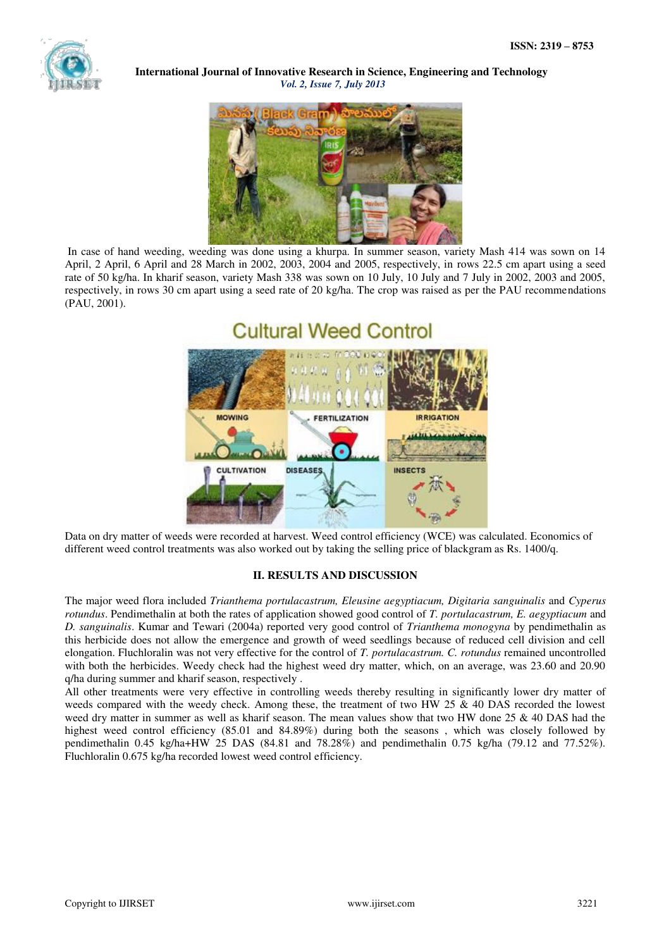

**International Journal of Innovative Research in Science, Engineering and Technology** *Vol. 2, Issue 7, July 2013*



 In case of hand weeding, weeding was done using a khurpa. In summer season, variety Mash 414 was sown on 14 April, 2 April, 6 April and 28 March in 2002, 2003, 2004 and 2005, respectively, in rows 22.5 cm apart using a seed rate of 50 kg/ha. In kharif season, variety Mash 338 was sown on 10 July, 10 July and 7 July in 2002, 2003 and 2005, respectively, in rows 30 cm apart using a seed rate of 20 kg/ha. The crop was raised as per the PAU recommendations (PAU, 2001).



Data on dry matter of weeds were recorded at harvest. Weed control efficiency (WCE) was calculated. Economics of different weed control treatments was also worked out by taking the selling price of blackgram as Rs. 1400/q.

### **II. RESULTS AND DISCUSSION**

The major weed flora included *Trianthema portulacastrum, Eleusine aegyptiacum, Digitaria sanguinalis* and *Cyperus rotundus*. Pendimethalin at both the rates of application showed good control of *T. portulacastrum, E. aegyptiacum* and *D. sanguinalis*. Kumar and Tewari (2004a) reported very good control of *Trianthema monogyna* by pendimethalin as this herbicide does not allow the emergence and growth of weed seedlings because of reduced cell division and cell elongation. Fluchloralin was not very effective for the control of *T. portulacastrum. C. rotundus* remained uncontrolled with both the herbicides. Weedy check had the highest weed dry matter, which, on an average, was 23.60 and 20.90 q/ha during summer and kharif season, respectively .

All other treatments were very effective in controlling weeds thereby resulting in significantly lower dry matter of weeds compared with the weedy check. Among these, the treatment of two HW 25 & 40 DAS recorded the lowest weed dry matter in summer as well as kharif season. The mean values show that two HW done 25 & 40 DAS had the highest weed control efficiency (85.01 and 84.89%) during both the seasons, which was closely followed by pendimethalin 0.45 kg/ha+HW 25 DAS (84.81 and 78.28%) and pendimethalin 0.75 kg/ha (79.12 and 77.52%). Fluchloralin 0.675 kg/ha recorded lowest weed control efficiency.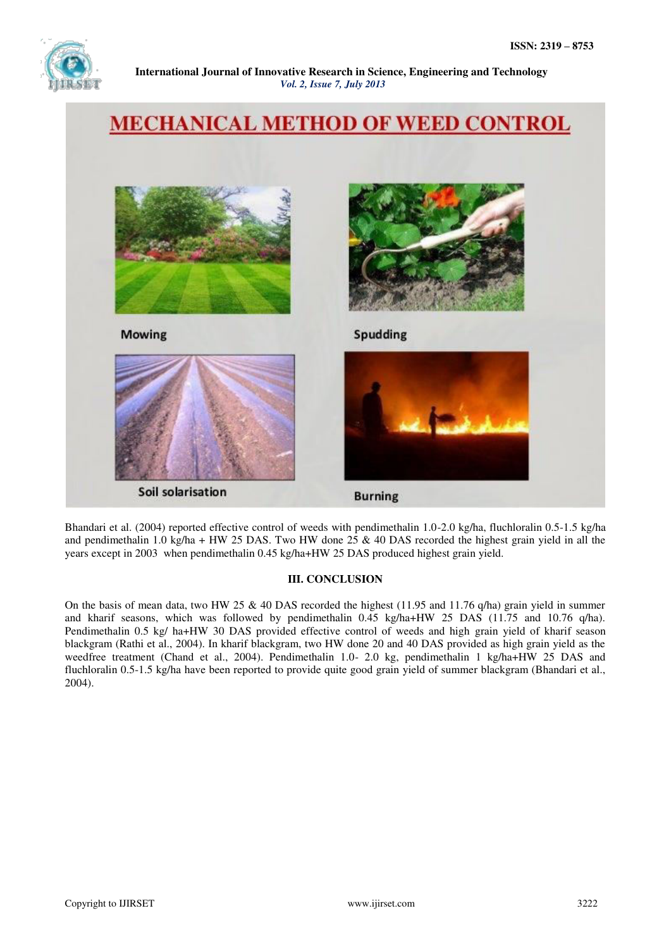

**International Journal of Innovative Research in Science, Engineering and Technology** *Vol. 2, Issue 7, July 2013*

# **MECHANICAL METHOD OF WEED CONTROL Mowing Spudding** Soil solarisation **Burning**

Bhandari et al. (2004) reported effective control of weeds with pendimethalin 1.0-2.0 kg/ha, fluchloralin 0.5-1.5 kg/ha and pendimethalin 1.0 kg/ha + HW 25 DAS. Two HW done 25  $\&$  40 DAS recorded the highest grain yield in all the years except in 2003 when pendimethalin 0.45 kg/ha+HW 25 DAS produced highest grain yield.

### **III. CONCLUSION**

On the basis of mean data, two HW 25 & 40 DAS recorded the highest (11.95 and 11.76 q/ha) grain yield in summer and kharif seasons, which was followed by pendimethalin 0.45 kg/ha+HW 25 DAS (11.75 and 10.76 q/ha). Pendimethalin 0.5 kg/ ha+HW 30 DAS provided effective control of weeds and high grain yield of kharif season blackgram (Rathi et al., 2004). In kharif blackgram, two HW done 20 and 40 DAS provided as high grain yield as the weedfree treatment (Chand et al., 2004). Pendimethalin 1.0- 2.0 kg, pendimethalin 1 kg/ha+HW 25 DAS and fluchloralin 0.5-1.5 kg/ha have been reported to provide quite good grain yield of summer blackgram (Bhandari et al., 2004).

ļ